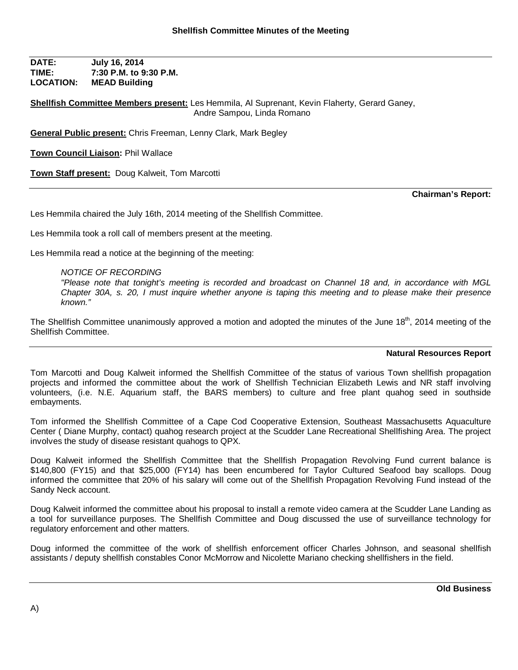**DATE: July 16, 2014 TIME: 7:30 P.M. to 9:30 P.M. LOCATION: MEAD Building**

**Shellfish Committee Members present:** Les Hemmila, Al Suprenant, Kevin Flaherty, Gerard Ganey, Andre Sampou, Linda Romano

**General Public present:** Chris Freeman, Lenny Clark, Mark Begley

**Town Council Liaison:** Phil Wallace

**Town Staff present:** Doug Kalweit, Tom Marcotti

**Chairman's Report:**

Les Hemmila chaired the July 16th, 2014 meeting of the Shellfish Committee.

Les Hemmila took a roll call of members present at the meeting.

Les Hemmila read a notice at the beginning of the meeting:

## *NOTICE OF RECORDING*

*"Please note that tonight's meeting is recorded and broadcast on Channel 18 and, in accordance with MGL Chapter 30A, s. 20, I must inquire whether anyone is taping this meeting and to please make their presence known."*

The Shellfish Committee unanimously approved a motion and adopted the minutes of the June 18<sup>th</sup>, 2014 meeting of the Shellfish Committee.

## **Natural Resources Report**

Tom Marcotti and Doug Kalweit informed the Shellfish Committee of the status of various Town shellfish propagation projects and informed the committee about the work of Shellfish Technician Elizabeth Lewis and NR staff involving volunteers, (i.e. N.E. Aquarium staff, the BARS members) to culture and free plant quahog seed in southside embayments.

Tom informed the Shellfish Committee of a Cape Cod Cooperative Extension, Southeast Massachusetts Aquaculture Center ( Diane Murphy, contact) quahog research project at the Scudder Lane Recreational Shellfishing Area. The project involves the study of disease resistant quahogs to QPX.

Doug Kalweit informed the Shellfish Committee that the Shellfish Propagation Revolving Fund current balance is \$140,800 (FY15) and that \$25,000 (FY14) has been encumbered for Taylor Cultured Seafood bay scallops. Doug informed the committee that 20% of his salary will come out of the Shellfish Propagation Revolving Fund instead of the Sandy Neck account.

Doug Kalweit informed the committee about his proposal to install a remote video camera at the Scudder Lane Landing as a tool for surveillance purposes. The Shellfish Committee and Doug discussed the use of surveillance technology for regulatory enforcement and other matters.

Doug informed the committee of the work of shellfish enforcement officer Charles Johnson, and seasonal shellfish assistants / deputy shellfish constables Conor McMorrow and Nicolette Mariano checking shellfishers in the field.